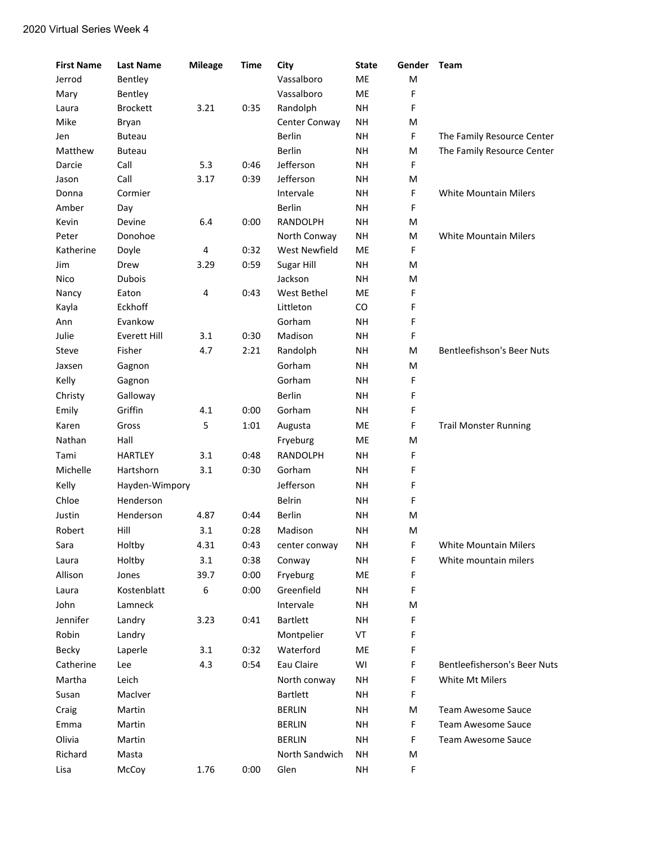| <b>First Name</b> | <b>Last Name</b>    | <b>Mileage</b> | <b>Time</b> | City                 | <b>State</b> | Gender | Team                                |
|-------------------|---------------------|----------------|-------------|----------------------|--------------|--------|-------------------------------------|
| Jerrod            | Bentley             |                |             | Vassalboro           | ME           | M      |                                     |
| Mary              | Bentley             |                |             | Vassalboro           | ME           | F      |                                     |
| Laura             | <b>Brockett</b>     | 3.21           | 0:35        | Randolph             | <b>NH</b>    | F      |                                     |
| Mike              | Bryan               |                |             | Center Conway        | <b>NH</b>    | M      |                                     |
| Jen               | <b>Buteau</b>       |                |             | Berlin               | <b>NH</b>    | F      | The Family Resource Center          |
| Matthew           | <b>Buteau</b>       |                |             | <b>Berlin</b>        | <b>NH</b>    | M      | The Family Resource Center          |
| Darcie            | Call                | 5.3            | 0:46        | Jefferson            | <b>NH</b>    | F      |                                     |
| Jason             | Call                | 3.17           | 0:39        | Jefferson            | <b>NH</b>    | M      |                                     |
| Donna             | Cormier             |                |             | Intervale            | <b>NH</b>    | F      | <b>White Mountain Milers</b>        |
| Amber             | Day                 |                |             | Berlin               | <b>NH</b>    | F      |                                     |
| Kevin             | Devine              | 6.4            | 0:00        | RANDOLPH             | <b>NH</b>    | M      |                                     |
| Peter             | Donohoe             |                |             | North Conway         | <b>NH</b>    | M      | <b>White Mountain Milers</b>        |
| Katherine         | Doyle               | 4              | 0:32        | <b>West Newfield</b> | ME           | F      |                                     |
| Jim               | Drew                | 3.29           | 0:59        | Sugar Hill           | <b>NH</b>    | M      |                                     |
| Nico              | <b>Dubois</b>       |                |             | Jackson              | <b>NH</b>    | M      |                                     |
| Nancy             | Eaton               | 4              | 0:43        | West Bethel          | ME           | F      |                                     |
| Kayla             | Eckhoff             |                |             | Littleton            | CO           | F      |                                     |
| Ann               | Evankow             |                |             | Gorham               | <b>NH</b>    | F      |                                     |
| Julie             | <b>Everett Hill</b> | 3.1            | 0:30        | Madison              | <b>NH</b>    | F      |                                     |
| Steve             | Fisher              | 4.7            | 2:21        | Randolph             | <b>NH</b>    | M      | <b>Bentleefishson's Beer Nuts</b>   |
| Jaxsen            | Gagnon              |                |             | Gorham               | <b>NH</b>    | M      |                                     |
| Kelly             | Gagnon              |                |             | Gorham               | <b>NH</b>    | F      |                                     |
| Christy           | Galloway            |                |             | <b>Berlin</b>        | <b>NH</b>    | F      |                                     |
| Emily             | Griffin             | 4.1            | 0:00        | Gorham               | <b>NH</b>    | F      |                                     |
| Karen             | Gross               | 5              | 1:01        | Augusta              | ME           | F      | <b>Trail Monster Running</b>        |
| Nathan            | Hall                |                |             | Fryeburg             | ME           | M      |                                     |
| Tami              | <b>HARTLEY</b>      | 3.1            | 0:48        | RANDOLPH             | <b>NH</b>    | F      |                                     |
| Michelle          | Hartshorn           | 3.1            | 0:30        | Gorham               | <b>NH</b>    | F      |                                     |
| Kelly             | Hayden-Wimpory      |                |             | Jefferson            | <b>NH</b>    | F      |                                     |
| Chloe             | Henderson           |                |             | Belrin               | <b>NH</b>    | F      |                                     |
| Justin            | Henderson           | 4.87           | 0:44        | Berlin               | <b>NH</b>    | M      |                                     |
|                   |                     |                |             |                      |              |        |                                     |
| Robert            | Hill                | 3.1            | 0:28        | Madison              | <b>NH</b>    | M      |                                     |
| Sara              | Holtby              | 4.31           | 0:43        | center conway        | NΗ           | F      | White Mountain Milers               |
| Laura             | Holtby              | 3.1            | 0:38        | Conway               | <b>NH</b>    | F      | White mountain milers               |
| Allison           | Jones               | 39.7           | 0:00        | Fryeburg             | ME           | F      |                                     |
| Laura             | Kostenblatt         | 6              | 0:00        | Greenfield           | <b>NH</b>    | F      |                                     |
| John              | Lamneck             |                |             | Intervale            | <b>NH</b>    | Μ      |                                     |
| Jennifer          | Landry              | 3.23           | 0:41        | <b>Bartlett</b>      | <b>NH</b>    | F      |                                     |
| Robin             | Landry              |                |             | Montpelier           | VT           | F      |                                     |
| Becky             | Laperle             | 3.1            | 0:32        | Waterford            | ME           | F      |                                     |
| Catherine         | Lee                 | 4.3            | 0:54        | Eau Claire           | WI           | F      | <b>Bentleefisherson's Beer Nuts</b> |
| Martha            | Leich               |                |             | North conway         | <b>NH</b>    | F      | White Mt Milers                     |
| Susan             | MacIver             |                |             | <b>Bartlett</b>      | <b>NH</b>    | F      |                                     |
| Craig             | Martin              |                |             | <b>BERLIN</b>        | <b>NH</b>    | М      | <b>Team Awesome Sauce</b>           |
| Emma              | Martin              |                |             | <b>BERLIN</b>        | <b>NH</b>    | F      | Team Awesome Sauce                  |
| Olivia            | Martin              |                |             | <b>BERLIN</b>        | <b>NH</b>    | F      | Team Awesome Sauce                  |
| Richard           | Masta               |                |             | North Sandwich       | <b>NH</b>    | Μ      |                                     |
| Lisa              | McCoy               | 1.76           | 0:00        | Glen                 | <b>NH</b>    | F      |                                     |